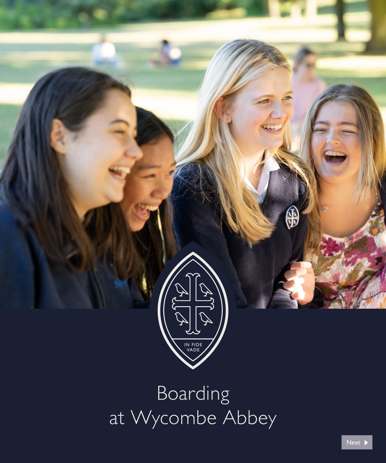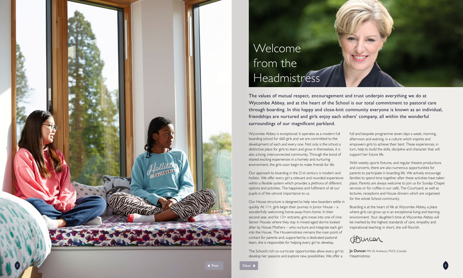The values of mutual respect, encouragement and trust underpin everything we do at Wycombe Abbey, and at the heart of the School is our total commitment to pastoral care through boarding. In this happy and close-knit community everyone is known as an individual, friendships are nurtured and girls enjoy each others' company, all within the wonderful surroundings of our magnificent parkland.

Wycombe Abbey is exceptional: it operates as a modern full boarding school for 6 60 girls and we are committed to the development of each and every one. Not only is the school a distinctive place for girls to learn and grow in themselves, it is also a living, interconnected communit y. Through the bond of shared exciting experiences in a homely and nurturing environment, the girls soon begin to make friends for life.

Our approach to boarding in the 21st century is modern and holistic. We offer every girl a relevant and rounded experience within a flexible system which provides a plethora of different options and activities. The happiness and fulfilment of all our pupils is of the utmost importance to us.

Our House structure is designed to help new boarders settle in quickl y. At 11+, girls begin their journey in Junior House – a wonderfully welcoming home-away-from-home. In their second year, and for 13+ entrants, girls move into one of nine Senior Houses where they stay in mixed-aged dorms looked after by House Mothers – who nurture and integrate each girl into the House. The Housemistress remains the main point of contact for parents and, supported by a dedicated pastoral team, she is responsible for helping every girl to develop.

> **Jo Duncan** MA (St Andrews), PGCE (Cantab) Headmistress



The School's rich co-curricular opportunities allow every girl to develop her passions and explore new possibilities. We offer a

full and bespoke programme seven days a week, morning, afternoon and evening, in a culture which inspires and empowers girls to achieve their best. These experiences, in turn, help to build the skills, discipline and character that will support her future life.



With weekly sports fixtures, and regular theatre productions and concerts, there are also numerous opportunities for parents to participate in boarding life. We actively encourage families to spend time together after these activities have taken place. Parents are always welcome to join us for Sunday Chapel services or for coffee in our café, The Courtyard, as well as lectures, receptions and House dinners which are organised for the whole School community.

Boarding is at the heart of life at Wycombe Abbey, a place where girls can grow up in an exceptional living and learning environment. Your daughter's time at Wycombe Abbey will be marked by the highest standards of care, empathy and inspirational teaching; in short, she will flourish.

# Welcome from the Headmistress

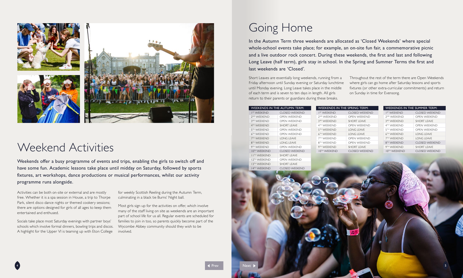Activities can be both on-site or external and are mostly free. Whether it is a spa session in House, a trip to Thorpe Park, silent disco dance nights or themed cookery sessions; there are options designed for girls of all ages to keep them entertained and enthused.

Socials take place most Saturday evenings with partner boys' schools which involve formal dinners, bowling trips and discos. A highlight for the Upper VI is teaming up with Eton College

for weekly Scottish Reeling during the Autumn Term, culminating in a black tie Burns' Night ball.

Most girls sign up for the activities on offer, which involve many of the staff living on site as weekends are an important part of school life for us all. Regular events are scheduled for families to join in too, so parents quickly become part of the Wycombe Abbey community should they wish to be involved.

Weekends offer a busy programme of events and trips, enabling the girls to switch off and have some fun. Academic lessons take place until midday on Saturday, followed by sports fixtures, art workshops, dance productions or musical performances, whilst our activity programme runs alongside.



## Weekend Activities

# Going Home

| WEEKENDS IN THE AUTUMN TERM: |                    |  | <b>WEEKENDS IN THE SPRING TERM:</b> |                    |  | WEEKENDS IN THE SUMMER TERM: |                     |  |
|------------------------------|--------------------|--|-------------------------------------|--------------------|--|------------------------------|---------------------|--|
| <b>IST WEEKEND</b>           | CLOSED WEEKEND     |  | <b>IST WEEKEND</b>                  | CLOSED WEEKEND     |  | <b>IST WEEKEND</b>           | CLOSED WEEKEND      |  |
| <sup>2ND</sup> WFFKFND       | OPEN WEEKEND       |  | 2 <sup>ND</sup> WEEKEND             | OPEN WEEKEND       |  | 2 <sup>ND</sup> WEEKEND      | OPEN WEEKEND        |  |
| 3 <sup>RD</sup> WFFKFND      | OPEN WEEKEND       |  | 3RD WFFKFND                         | SHORT I FAVE       |  | 3RD WFFKFND                  | SHORT I FAVE        |  |
| 4™ WFFKFND.                  | SHORT I FAVE       |  | 4TH WFFKFND                         | OPEN WEEKEND       |  | 4TH WEEKEND                  | OPEN WEEKEND        |  |
| 5™ WFFKFND                   | OPEN WEEKEND       |  | 5TH WEEKEND                         | <b>IONG I FAVE</b> |  | 5TH WFFKFND                  | OPEN WEEKEND        |  |
| 6 <sup>th</sup> WFFKFND      | OPEN WEEKEND       |  | 6TH WEEKEND                         | <b>LONG LEAVE</b>  |  | 6TH WFFKFND                  | <b>I ONG I FAVE</b> |  |
| 7TH WFFKFND                  | LONG LEAVE         |  | 7TH WFFKFND                         | OPEN WEEKEND       |  | 7TH WFFKFND                  | <b>LONG LEAVE</b>   |  |
| 8 <sup>th</sup> WFFKFND      | LONG LEAVE         |  | 8 <sup>TH</sup> WFFKFND             | OPEN WEEKEND       |  | 8 <sup>TH</sup> WEEKEND      | CLOSED WEEKEND      |  |
| 9 <sup>th</sup> WFFKFND      | OPEN WEEKEND       |  | 9TH WEEKEND                         | SHORT I FAVE       |  | 9TH WFFKFND                  | SHORT I FAVE        |  |
| <b>IOTH WEEKEND</b>          | CLOSED WEEKEND     |  | <b>IOTH WEEKEND</b>                 | CLOSED WEEKEND     |  | <b>IOTH WEEKEND</b>          | CLOSED WEEKEND      |  |
| <b>I ITH WEEKEND</b>         | <b>SHORT LEAVE</b> |  |                                     |                    |  |                              |                     |  |
| <b>12TH WEEKEND</b>          | OPEN WEEKEND       |  |                                     |                    |  |                              |                     |  |
| 13TH WEEKEND                 | <b>SHORT LEAVE</b> |  |                                     |                    |  |                              |                     |  |
|                              |                    |  |                                     |                    |  |                              |                     |  |

In the Autumn Term three weekends are allocated as 'Closed Weekends' where special whole-school events take place; for example, an on-site fun fair, a commemorative picnic and a live outdoor rock concert. During these weekends, the first and last and following Long Leave (half term), girls stay in school. In the Spring and Summer Terms the first and last weekends are 'Closed'.

Short Leaves are essentially long weekends, running from a Friday afternoon until Sunday evening or Saturday lunchtime until Monday evening. Long Leave takes place in the middle of each term and is seven to ten days in length. All girls return to their parents or guardians during these breaks.

Throughout the rest of the term there are Open Weekends where girls can go home after Saturday lessons and sports fixtures (or other extra-curricular commitments) and return on Sunday in time for Evensong.



4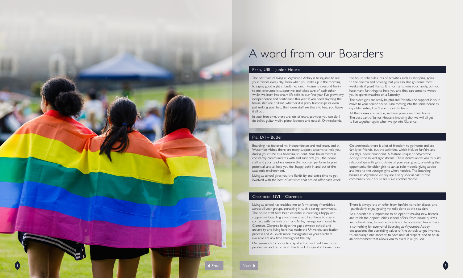The best part of living at Wycombe Abbey is being able to see your friends every day, from when you wake up in the morning to saying good night at bedtime. Junior House is a second family to me, everyone is supportive and takes care of each other whilst we learn important life skills in our first year. I've grown my independence and confidence this year. If you need anything the house staff are brilliant, whether it is prep, friendships or even just making your bed, the house staff are there to help you figure it all out.

In your free time, there are lots of extra activities you can do; I do ballet, guitar, violin, piano, lacrosse and netball. On weekends, the house schedules lots of activities such as shopping, going to the cinema and bowling, but you can also go home most weekends if you'd like to. It is normal to miss your family, but you have many fun things to help you and they can come to watch you in sports matches on a Saturday.

The older girls are really helpful and friendly and support in your move to your senior house. I am moving into the same house as my older sister; I can't wait to join Rubens!

All the houses are unique, and everyone loves their house. The best part of lunior House is knowing that we will all get to live together again when we go into Clarence.

### Paris, UIII – Junior House

Boarding has fostered my independence and resilience, and at Wycombe Abbey there are many support systems to help you during your time as a boarding student. Your housemistress constantly communicates with and supports you, the house staff and your teachers ensure that you can perform to your potential, and all help you feel happy both in and out of the academic environment. Living at school gives you the flexibility and extra time to get

involved with the host of activities that are on offer each week.

On weekends, there is a lot of freedom to go home and see family or friends, but the activities, which include funfairs and spa days, never disappoint. A feature unique to Wycombe Abbey is the mixed aged dorms. These dorms allow you to build relationships with girls outside of your year group, providing the opportunity for older girls to act as role models, giving advice and help to the younger girls when needed. The boarding houses at Wycombe Abbey are a very special part of the community, your house feels like another 'home'.

### Pia, LVI – Butler

Living at school has enabled me to form strong friendships across all year groups, partaking in such a caring community. The house staff have been essential in creating a happy and supportive boarding environment, and I continue to stay in contact with my matrons from Airlie, having now moved to Clarence. Clarence bridges the gap between school and university, and living here has made the University application process and A-Levels more manageable as your teachers available are any time throughout the day.

On weekends, I choose to stay at school as I find I am more productive and can cherish the time I do spend at home more.

1 Prev Next Next

There is always lots on offer from funfairs to roller discos, and I particularly enjoy getting my nails done at the spa days.

As a boarder it is important to be open to making new friends and relish the opportunities school offers, from house quizzes and school plays, to rock concerts and lacrosse matches – there is something for everyone! Boarding at Wycombe Abbey encapsulates the overriding values of the school: to get involved, to encourage one another, to have mutual respect, and to be in an environment that allows you to excel in all you do.

### Charlotte, UVI – Clarence

## A word from our Boarders

6